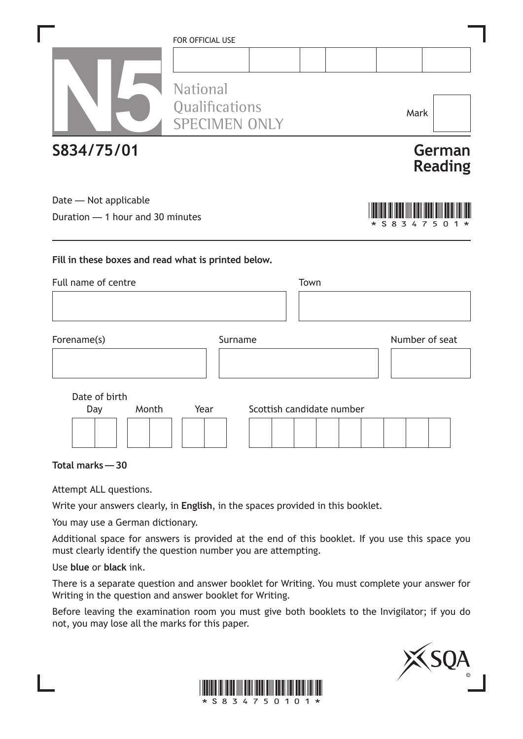|                                  | FOR OFFICIAL USE                                          |                           |      |                |                          |
|----------------------------------|-----------------------------------------------------------|---------------------------|------|----------------|--------------------------|
|                                  |                                                           |                           |      |                |                          |
|                                  | <b>National</b><br>Qualifications<br><b>SPECIMEN ONLY</b> |                           |      | Mark           |                          |
| S834/75/01                       |                                                           |                           |      |                | German<br><b>Reading</b> |
| Date - Not applicable            |                                                           |                           |      |                |                          |
| Duration - 1 hour and 30 minutes |                                                           |                           |      | S 8<br>3<br>7  |                          |
| Full name of centre              |                                                           |                           | Town |                |                          |
| Forename(s)                      |                                                           | Surname                   |      | Number of seat |                          |
| Date of birth<br>Month<br>Day    | Year                                                      | Scottish candidate number |      |                |                          |
|                                  |                                                           |                           |      |                |                          |
| Total marks - 30                 |                                                           |                           |      |                |                          |
|                                  |                                                           |                           |      |                |                          |

Attempt ALL questions.

Write your answers clearly, in **English**, in the spaces provided in this booklet.

You may use a German dictionary.

Additional space for answers is provided at the end of this booklet. If you use this space you must clearly identify the question number you are attempting.

Use **blue** or **black** ink.

There is a separate question and answer booklet for Writing. You must complete your answer for Writing in the question and answer booklet for Writing.

Before leaving the examination room you must give both booklets to the Invigilator; if you do not, you may lose all the marks for this paper.



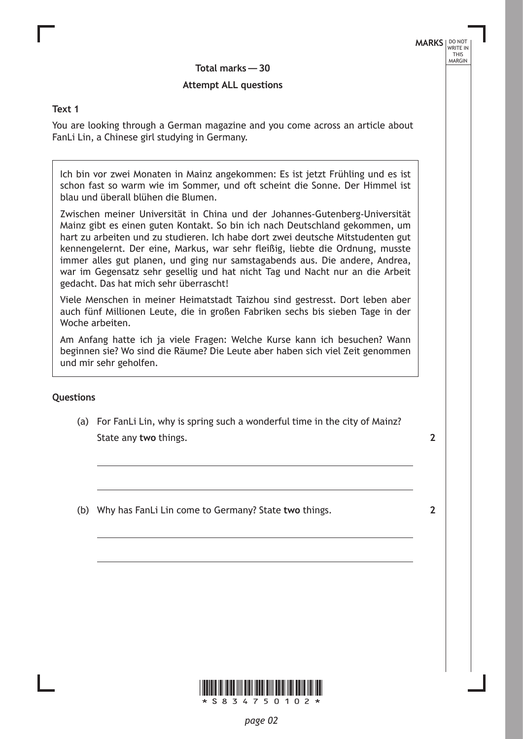**Total marks— 30**

## **Attempt ALL questions**

#### **Text 1**

You are looking through a German magazine and you come across an article about FanLi Lin, a Chinese girl studying in Germany.

Ich bin vor zwei Monaten in Mainz angekommen: Es ist jetzt Frühling und es ist schon fast so warm wie im Sommer, und oft scheint die Sonne. Der Himmel ist blau und überall blühen die Blumen.

Zwischen meiner Universität in China und der Johannes-Gutenberg-Universität Mainz gibt es einen guten Kontakt. So bin ich nach Deutschland gekommen, um hart zu arbeiten und zu studieren. Ich habe dort zwei deutsche Mitstudenten gut kennengelernt. Der eine, Markus, war sehr fleißig, liebte die Ordnung, musste immer alles gut planen, und ging nur samstagabends aus. Die andere, Andrea, war im Gegensatz sehr gesellig und hat nicht Tag und Nacht nur an die Arbeit gedacht. Das hat mich sehr überrascht!

Viele Menschen in meiner Heimatstadt Taizhou sind gestresst. Dort leben aber auch fünf Millionen Leute, die in großen Fabriken sechs bis sieben Tage in der Woche arbeiten.

Am Anfang hatte ich ja viele Fragen: Welche Kurse kann ich besuchen? Wann beginnen sie? Wo sind die Räume? Die Leute aber haben sich viel Zeit genommen und mir sehr geholfen.

### **Questions**

(a) For FanLi Lin, why is spring such a wonderful time in the city of Mainz? State any **two** things.

**2**

(b) Why has FanLi Lin come to Germany? State **two** things.

**2**

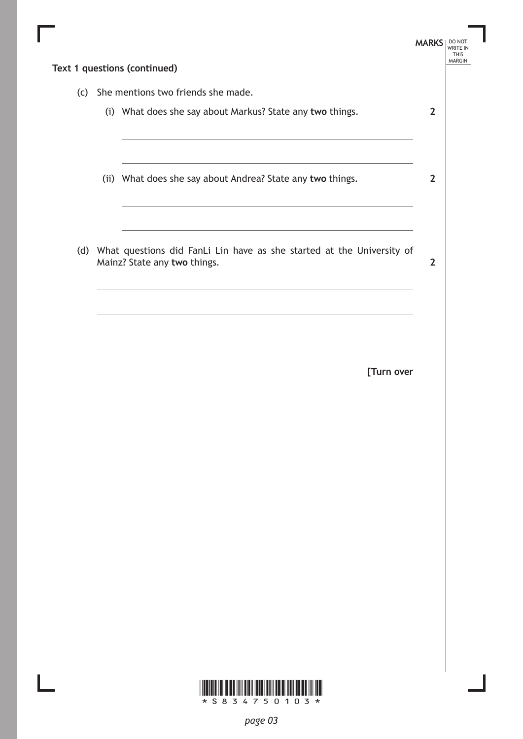|     |                                                                                                                          | <b>MARKS</b>   DO NOT | <b>WRITE IN</b><br><b>THIS</b> |
|-----|--------------------------------------------------------------------------------------------------------------------------|-----------------------|--------------------------------|
|     | Text 1 questions (continued)                                                                                             |                       | <b>MARGIN</b>                  |
| (c) | She mentions two friends she made.                                                                                       |                       |                                |
|     | (i) What does she say about Markus? State any two things.                                                                | $\overline{2}$        |                                |
|     | <u> 1989 - Johann Barn, amerikansk politiker (d. 1989)</u><br>(ii) What does she say about Andrea? State any two things. | $\mathbf{2}$          |                                |
|     | (d) What questions did FanLi Lin have as she started at the University of<br>Mainz? State any two things.                | $\mathbf{2}$          |                                |
|     | <u> 1989 - Johann Stoff, deutscher Stoffen und der Stoffen und der Stoffen und der Stoffen und der Stoffen und der</u>   |                       |                                |
|     | [Turn over                                                                                                               |                       |                                |
|     |                                                                                                                          |                       |                                |
|     |                                                                                                                          |                       |                                |
|     |                                                                                                                          |                       |                                |
|     |                                                                                                                          |                       |                                |
|     |                                                                                                                          |                       |                                |
|     | * S 8 3 4 7 5 0 1 0 3 *                                                                                                  |                       |                                |

*page 03*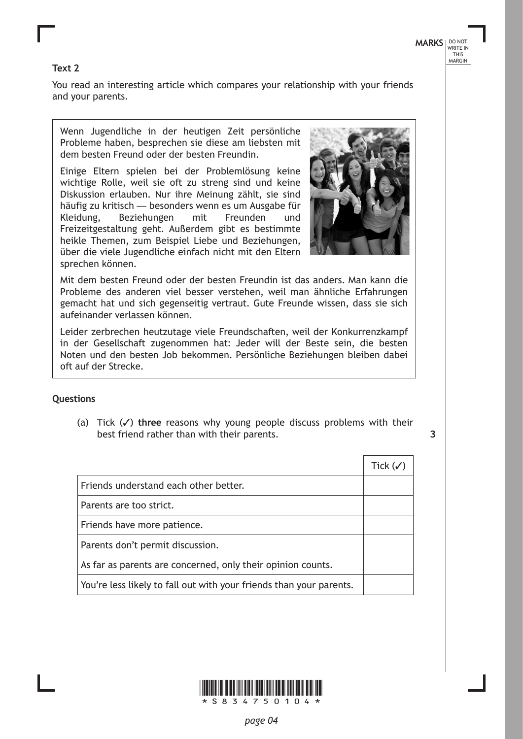## **Text 2**

You read an interesting article which compares your relationship with your friends and your parents.

Wenn Jugendliche in der heutigen Zeit persönliche Probleme haben, besprechen sie diese am liebsten mit dem besten Freund oder der besten Freundin.

Einige Eltern spielen bei der Problemlösung keine wichtige Rolle, weil sie oft zu streng sind und keine Diskussion erlauben. Nur ihre Meinung zählt, sie sind häufig zu kritisch — besonders wenn es um Ausgabe für Kleidung, Beziehungen mit Freunden und Freizeitgestaltung geht. Außerdem gibt es bestimmte heikle Themen, zum Beispiel Liebe und Beziehungen, über die viele Jugendliche einfach nicht mit den Eltern sprechen können.



Mit dem besten Freund oder der besten Freundin ist das anders. Man kann die Probleme des anderen viel besser verstehen, weil man ähnliche Erfahrungen gemacht hat und sich gegenseitig vertraut. Gute Freunde wissen, dass sie sich aufeinander verlassen können.

Leider zerbrechen heutzutage viele Freundschaften, weil der Konkurrenzkampf in der Gesellschaft zugenommen hat: Jeder will der Beste sein, die besten Noten und den besten Job bekommen. Persönliche Beziehungen bleiben dabei oft auf der Strecke.

### **Questions**

(a) Tick  $(\checkmark)$  three reasons why young people discuss problems with their best friend rather than with their parents.

| ٠<br>I            |
|-------------------|
|                   |
| i                 |
| I<br>۰.<br>w<br>v |

|                                                                     | Tick $(\checkmark)$ |
|---------------------------------------------------------------------|---------------------|
| Friends understand each other better.                               |                     |
| Parents are too strict.                                             |                     |
| Friends have more patience.                                         |                     |
| Parents don't permit discussion.                                    |                     |
| As far as parents are concerned, only their opinion counts.         |                     |
| You're less likely to fall out with your friends than your parents. |                     |

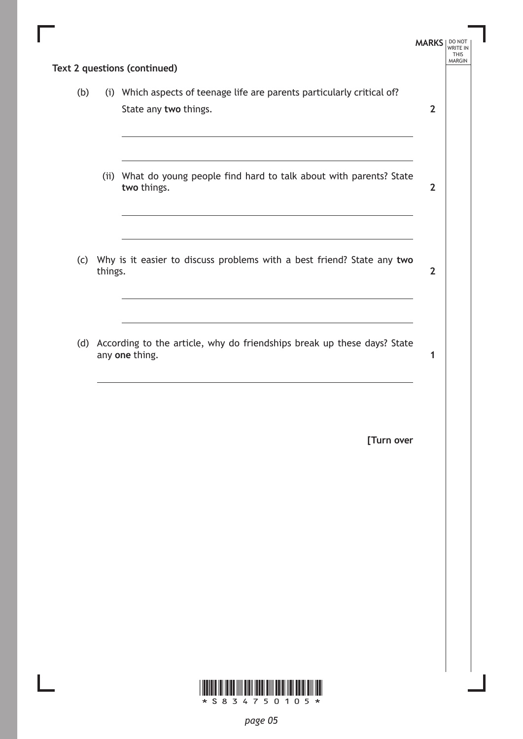|     |         | Text 2 questions (continued)                                                                                                                                                                                              | <b>MARKS</b>   | DO NOT<br>WRITE IN<br><b>THIS</b><br><b>MARGIN</b> |
|-----|---------|---------------------------------------------------------------------------------------------------------------------------------------------------------------------------------------------------------------------------|----------------|----------------------------------------------------|
| (b) |         | (i) Which aspects of teenage life are parents particularly critical of?<br>State any two things.<br><u> 1989 - Johann Stein, marwolaethau a bhann an t-Amhain ann an t-Amhain an t-Amhain an t-Amhain an t-Amhain an </u> | $\overline{2}$ |                                                    |
|     |         | (ii) What do young people find hard to talk about with parents? State<br>two things.                                                                                                                                      | $\overline{2}$ |                                                    |
|     | things. | (c) Why is it easier to discuss problems with a best friend? State any two<br>the control of the control of the control of the control of the control of                                                                  | $\overline{2}$ |                                                    |
|     |         | (d) According to the article, why do friendships break up these days? State<br>any one thing.                                                                                                                             | 1              |                                                    |
|     |         | [Turn over                                                                                                                                                                                                                |                |                                                    |
|     |         |                                                                                                                                                                                                                           |                |                                                    |
|     |         |                                                                                                                                                                                                                           |                |                                                    |
|     |         |                                                                                                                                                                                                                           |                |                                                    |

 $*$  s  $8$  3 4 7 5 0 1 0 5  $*$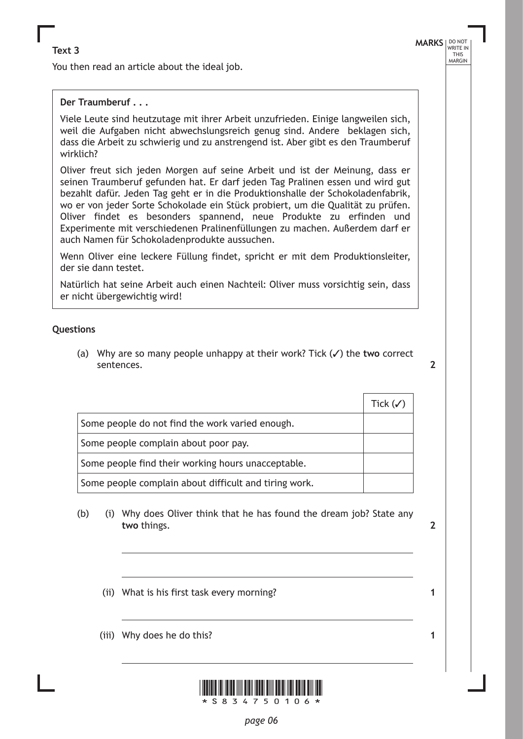You then read an article about the ideal job.

## **Der Traumberuf . . .**

Viele Leute sind heutzutage mit ihrer Arbeit unzufrieden. Einige langweilen sich, weil die Aufgaben nicht abwechslungsreich genug sind. Andere beklagen sich, dass die Arbeit zu schwierig und zu anstrengend ist. Aber gibt es den Traumberuf wirklich?

Oliver freut sich jeden Morgen auf seine Arbeit und ist der Meinung, dass er seinen Traumberuf gefunden hat. Er darf jeden Tag Pralinen essen und wird gut bezahlt dafür. Jeden Tag geht er in die Produktionshalle der Schokoladenfabrik, wo er von jeder Sorte Schokolade ein Stück probiert, um die Qualität zu prüfen. Oliver findet es besonders spannend, neue Produkte zu erfinden und Experimente mit verschiedenen Pralinenfüllungen zu machen. Außerdem darf er auch Namen für Schokoladenprodukte aussuchen.

Wenn Oliver eine leckere Füllung findet, spricht er mit dem Produktionsleiter, der sie dann testet.

Natürlich hat seine Arbeit auch einen Nachteil: Oliver muss vorsichtig sein, dass er nicht übergewichtig wird!

#### **Questions**

(a) Why are so many people unhappy at their work? Tick  $(\checkmark)$  the two correct sentences.

|                                                       | Tick $(\checkmark)$ |
|-------------------------------------------------------|---------------------|
| Some people do not find the work varied enough.       |                     |
| Some people complain about poor pay.                  |                     |
| Some people find their working hours unacceptable.    |                     |
| Some people complain about difficult and tiring work. |                     |

- (b) (i) Why does Oliver think that he has found the dream job? State any **two** things.
	- (ii) What is his first task every morning?
	- (iii) Why does he do this?



**1**

**1**

**2**

**2**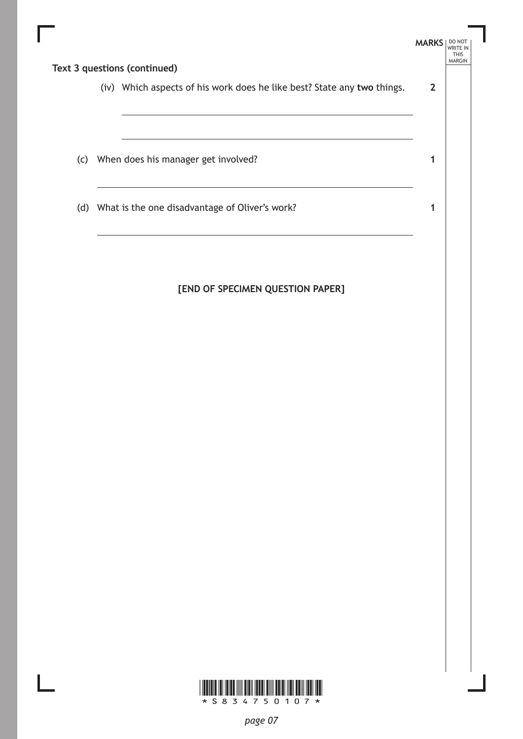|  |                                                                         | <b>MARKS</b>   | WRITE IN<br><b>THIS</b> |  |
|--|-------------------------------------------------------------------------|----------------|-------------------------|--|
|  | Text 3 questions (continued)                                            |                | <b>MARGIN</b>           |  |
|  | (iv) Which aspects of his work does he like best? State any two things. | $\overline{2}$ |                         |  |
|  |                                                                         |                |                         |  |
|  |                                                                         |                |                         |  |
|  | (c) When does his manager get involved?                                 | 1              |                         |  |
|  |                                                                         |                |                         |  |
|  | (d) What is the one disadvantage of Oliver's work?                      | 1              |                         |  |
|  |                                                                         |                |                         |  |
|  |                                                                         |                |                         |  |

# **[END OF SPECIMEN QUESTION PAPER]**

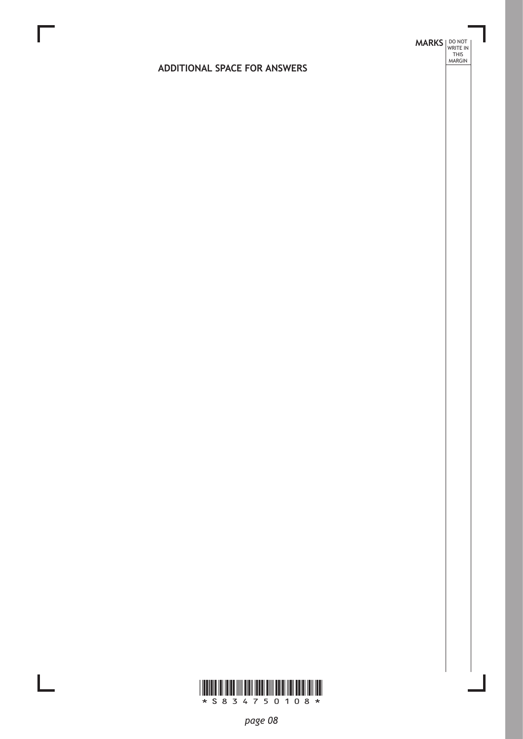# **MARKS DO NOT
WRITE IN** <br>
THIS
MARGIN

# **ADDITIONAL SPACE FOR ANSWERS**



 $\mathbb{R}^{\mathbb{Z}}$ 

*page 08*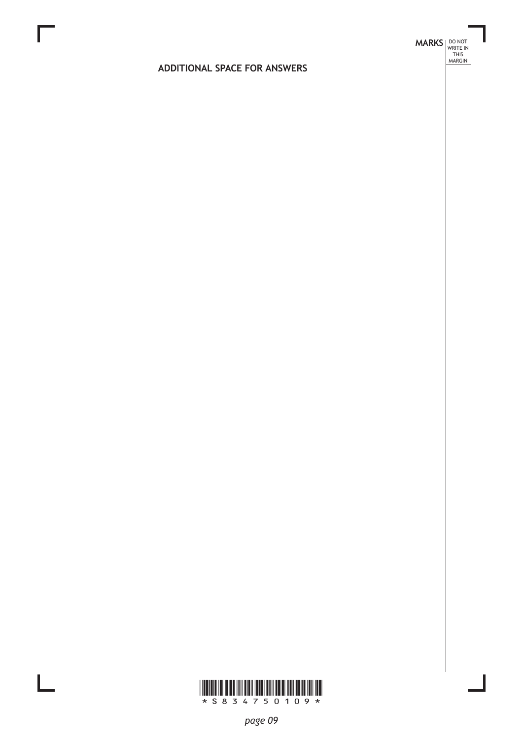# **MARKS DO NOT
WRITE IN** <br>
THIS
MARGIN

# **ADDITIONAL SPACE FOR ANSWERS**



 $\mathbb{R}^{\mathbb{Z}}$ 

*page 09*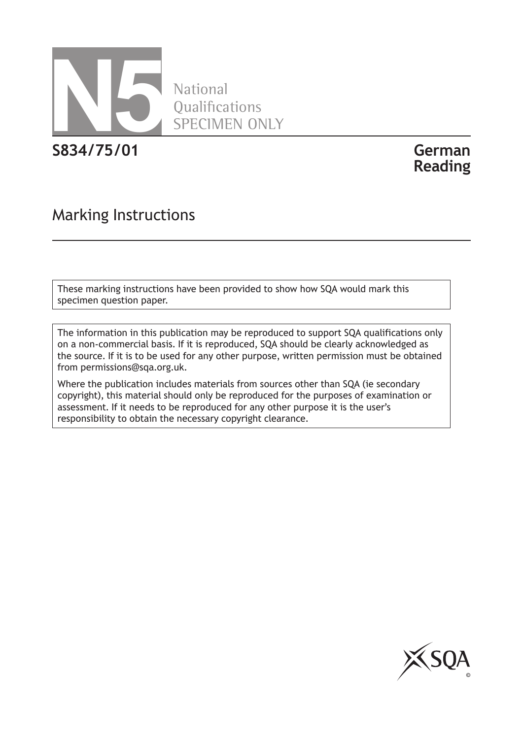

National **Oualifications** SPECIMEN ONLY

**S834/75/01 German**

**Reading**

# Marking Instructions

These marking instructions have been provided to show how SQA would mark this specimen question paper.

The information in this publication may be reproduced to support SQA qualifications only on a non-commercial basis. If it is reproduced, SQA should be clearly acknowledged as the source. If it is to be used for any other purpose, written permission must be obtained from permissions@sqa.org.uk.

Where the publication includes materials from sources other than SQA (ie secondary copyright), this material should only be reproduced for the purposes of examination or assessment. If it needs to be reproduced for any other purpose it is the user's responsibility to obtain the necessary copyright clearance.

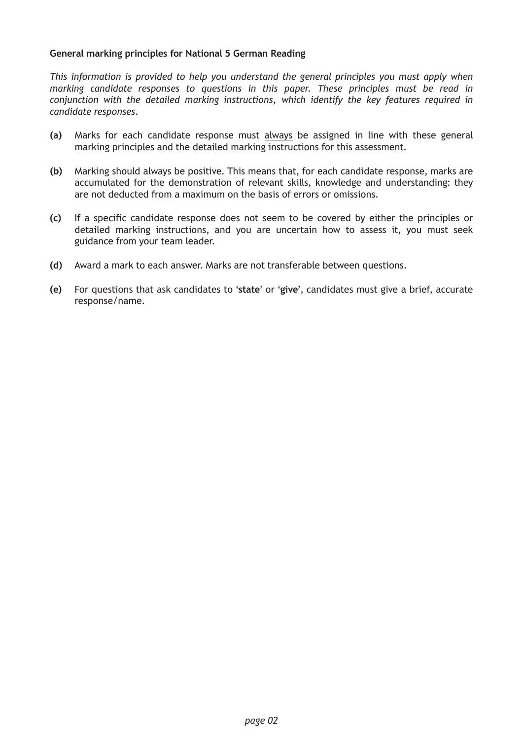### **General marking principles for National 5 German Reading**

*This information is provided to help you understand the general principles you must apply when marking candidate responses to questions in this paper. These principles must be read in conjunction with the detailed marking instructions, which identify the key features required in candidate responses.*

- **(a)** Marks for each candidate response must always be assigned in line with these general marking principles and the detailed marking instructions for this assessment.
- **(b)** Marking should always be positive. This means that, for each candidate response, marks are accumulated for the demonstration of relevant skills, knowledge and understanding: they are not deducted from a maximum on the basis of errors or omissions.
- **(c)** If a specific candidate response does not seem to be covered by either the principles or detailed marking instructions, and you are uncertain how to assess it, you must seek guidance from your team leader.
- **(d)** Award a mark to each answer. Marks are not transferable between questions.
- **(e)** For questions that ask candidates to '**state**' or '**give**', candidates must give a brief, accurate response/name.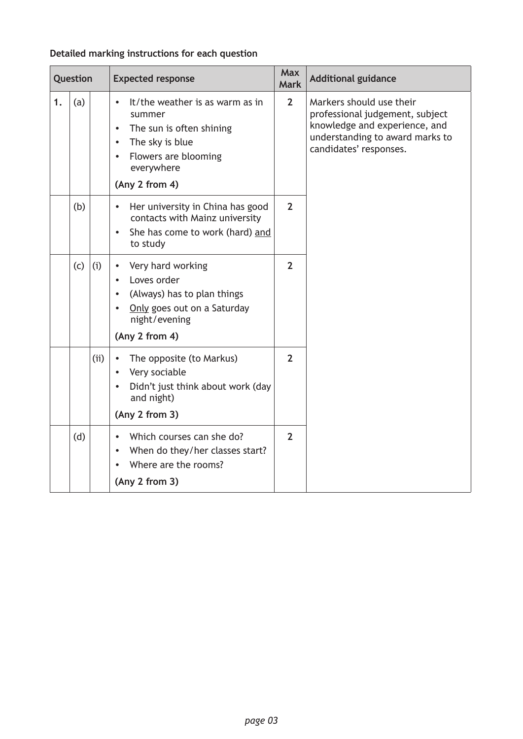# **Detailed marking instructions for each question**

|    | Question |     | <b>Expected response</b>                                                                                                                                                                             | <b>Max</b><br><b>Mark</b> | <b>Additional guidance</b>                                                                                                                                |
|----|----------|-----|------------------------------------------------------------------------------------------------------------------------------------------------------------------------------------------------------|---------------------------|-----------------------------------------------------------------------------------------------------------------------------------------------------------|
| 1. | (a)      |     | It/the weather is as warm as in<br>$\bullet$<br>summer<br>The sun is often shining<br>$\bullet$<br>The sky is blue<br>$\bullet$<br>Flowers are blooming<br>$\bullet$<br>everywhere<br>(Any 2 from 4) | $\overline{2}$            | Markers should use their<br>professional judgement, subject<br>knowledge and experience, and<br>understanding to award marks to<br>candidates' responses. |
|    | (b)      |     | Her university in China has good<br>$\bullet$<br>contacts with Mainz university<br>She has come to work (hard) and<br>$\bullet$<br>to study                                                          | $\overline{2}$            |                                                                                                                                                           |
|    | (c)      | (i) | Very hard working<br>$\bullet$<br>Loves order<br>$\bullet$<br>(Always) has to plan things<br>$\bullet$<br>Only goes out on a Saturday<br>$\bullet$<br>night/evening<br>(Any 2 from 4)                | $\overline{2}$            |                                                                                                                                                           |
|    |          | (i) | The opposite (to Markus)<br>$\bullet$<br>Very sociable<br>$\bullet$<br>Didn't just think about work (day<br>$\bullet$<br>and night)<br>(Any 2 from 3)                                                | $\mathbf{2}$              |                                                                                                                                                           |
|    | (d)      |     | Which courses can she do?<br>When do they/her classes start?<br>$\bullet$<br>Where are the rooms?<br>(Any 2 from 3)                                                                                  | $\overline{2}$            |                                                                                                                                                           |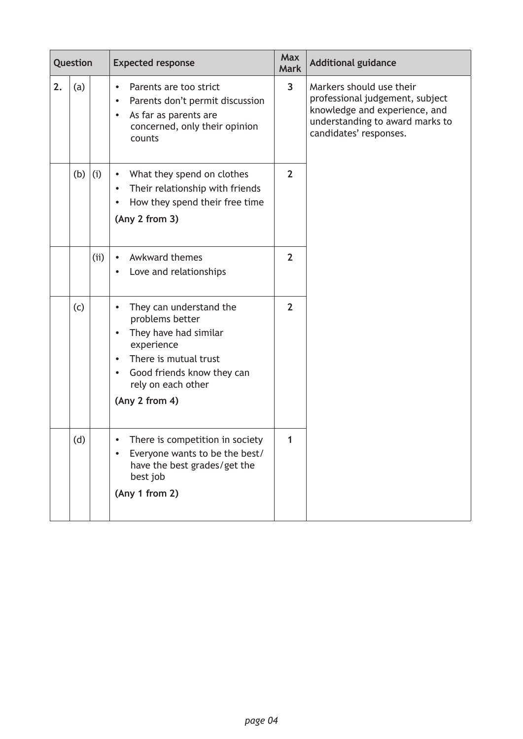|    | Question |     | <b>Expected response</b>                                                                                                                                                                                                             | <b>Max</b><br><b>Mark</b> | <b>Additional guidance</b>                                                                                                                                |
|----|----------|-----|--------------------------------------------------------------------------------------------------------------------------------------------------------------------------------------------------------------------------------------|---------------------------|-----------------------------------------------------------------------------------------------------------------------------------------------------------|
| 2. | (a)      |     | Parents are too strict<br>$\bullet$<br>Parents don't permit discussion<br>$\bullet$<br>As far as parents are<br>$\bullet$<br>concerned, only their opinion<br>counts                                                                 | 3                         | Markers should use their<br>professional judgement, subject<br>knowledge and experience, and<br>understanding to award marks to<br>candidates' responses. |
|    | (b)      | (i) | What they spend on clothes<br>$\bullet$<br>Their relationship with friends<br>$\bullet$<br>How they spend their free time<br>(Any 2 from 3)                                                                                          | $\overline{2}$            |                                                                                                                                                           |
|    |          | (i) | Awkward themes<br>$\bullet$<br>Love and relationships<br>$\bullet$                                                                                                                                                                   | $\overline{2}$            |                                                                                                                                                           |
|    | (c)      |     | They can understand the<br>$\bullet$<br>problems better<br>They have had similar<br>$\bullet$<br>experience<br>There is mutual trust<br>$\bullet$<br>Good friends know they can<br>$\bullet$<br>rely on each other<br>(Any 2 from 4) | $\overline{2}$            |                                                                                                                                                           |
|    | (d)      |     | There is competition in society<br>$\bullet$<br>Everyone wants to be the best/<br>have the best grades/get the<br>best job<br>(Any 1 from 2)                                                                                         | 1                         |                                                                                                                                                           |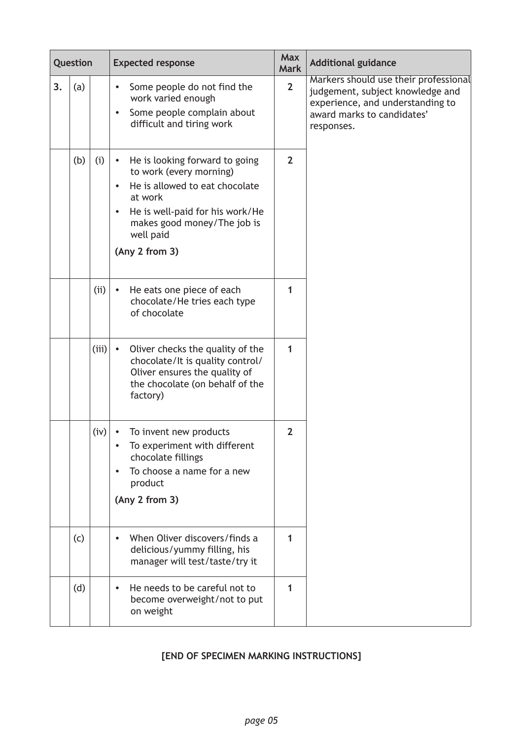| Question |     |       | <b>Expected response</b>                                                                                                                                                                                             | <b>Max</b><br><b>Mark</b> | <b>Additional guidance</b>                                                                                                                                |
|----------|-----|-------|----------------------------------------------------------------------------------------------------------------------------------------------------------------------------------------------------------------------|---------------------------|-----------------------------------------------------------------------------------------------------------------------------------------------------------|
| 3.       | (a) |       | Some people do not find the<br>work varied enough<br>Some people complain about<br>difficult and tiring work                                                                                                         | $\overline{2}$            | Markers should use their professional<br>judgement, subject knowledge and<br>experience, and understanding to<br>award marks to candidates'<br>responses. |
|          | (b) | (i)   | He is looking forward to going<br>to work (every morning)<br>He is allowed to eat chocolate<br>at work<br>He is well-paid for his work/He<br>$\bullet$<br>makes good money/The job is<br>well paid<br>(Any 2 from 3) | $\overline{2}$            |                                                                                                                                                           |
|          |     | (i)   | He eats one piece of each<br>$\bullet$<br>chocolate/He tries each type<br>of chocolate                                                                                                                               | 1                         |                                                                                                                                                           |
|          |     | (iii) | Oliver checks the quality of the<br>$\bullet$<br>chocolate/It is quality control/<br>Oliver ensures the quality of<br>the chocolate (on behalf of the<br>factory)                                                    | 1                         |                                                                                                                                                           |
|          |     | (iv)  | To invent new products<br>$\bullet$<br>To experiment with different<br>chocolate fillings<br>To choose a name for a new<br>product<br>(Any 2 from 3)                                                                 | $\overline{2}$            |                                                                                                                                                           |
|          | (c) |       | When Oliver discovers/finds a<br>$\bullet$<br>delicious/yummy filling, his<br>manager will test/taste/try it                                                                                                         | 1                         |                                                                                                                                                           |
|          | (d) |       | He needs to be careful not to<br>$\bullet$<br>become overweight/not to put<br>on weight                                                                                                                              | 1                         |                                                                                                                                                           |

# **[END OF SPECIMEN MARKING INSTRUCTIONS]**